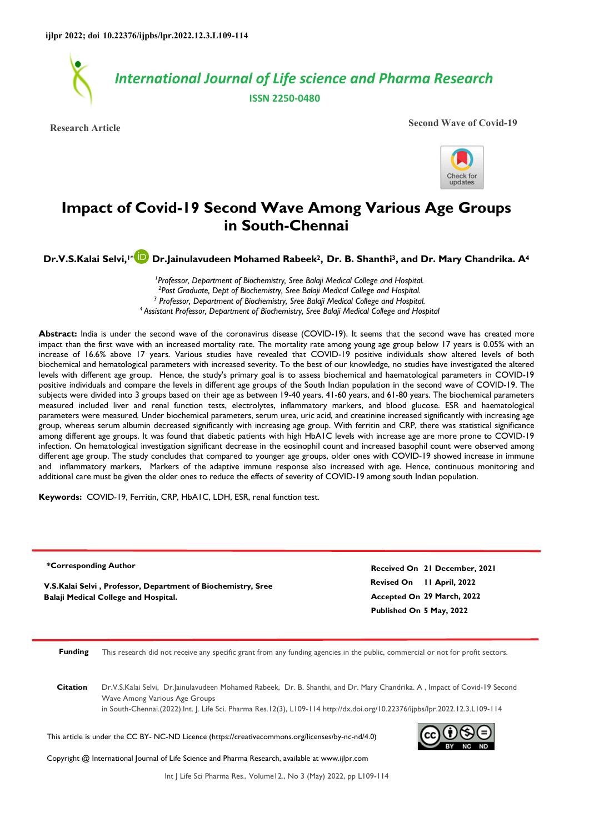

**Research Article** Second Wave of Covid-19



# **Impact of Covid-19 Second Wave Among Various Age Groups in South-Chennai**

**Dr.V.S.Kalai Selvi,1[\\*](https://orcid.org/0000-0002-9000-9206) Dr.Jainulavudeen Mohamed Rabeek2, Dr. B. Shanthi3, and Dr. Mary Chandrika. A<sup>4</sup>**

<sup>1</sup> Professor, Department of Biochemistry, Sree Balaji Medical College and Hospital. *2 Post Graduate, Dept of Biochemistry, Sree Balaji Medical College and Hospital.*  <sup>3</sup> Professor, Department of Biochemistry, Sree Balaji Medical College and Hospital. *<sup>4</sup>Assistant Professor, Department of Biochemistry, Sree Balaji Medical College and Hospital* 

Abstract: India is under the second wave of the coronavirus disease (COVID-19). It seems that the second wave has created more impact than the first wave with an increased mortality rate. The mortality rate among young age group below 17 years is 0.05% with an increase of 16.6% above 17 years. Various studies have revealed that COVID-19 positive individuals show altered levels of both biochemical and hematological parameters with increased severity. To the best of our knowledge, no studies have investigated the altered levels with different age group. Hence, the study's primary goal is to assess biochemical and haematological parameters in COVID-19 positive individuals and compare the levels in different age groups of the South Indian population in the second wave of COVID-19. The subjects were divided into 3 groups based on their age as between 19-40 years, 41-60 years, and 61-80 years. The biochemical parameters measured included liver and renal function tests, electrolytes, inflammatory markers, and blood glucose. ESR and haematological parameters were measured. Under biochemical parameters, serum urea, uric acid, and creatinine increased significantly with increasing age group, whereas serum albumin decreased significantly with increasing age group. With ferritin and CRP, there was statistical significance among different age groups. It was found that diabetic patients with high HbA1C levels with increase age are more prone to COVID-19 infection. On hematological investigation significant decrease in the eosinophil count and increased basophil count were observed among different age group. The study concludes that compared to younger age groups, older ones with COVID-19 showed increase in immune and inflammatory markers, Markers of the adaptive immune response also increased with age. Hence, continuous monitoring and additional care must be given the older ones to reduce the effects of severity of COVID-19 among south Indian population.

**Keywords:** COVID-19, Ferritin, CRP, HbA1C, LDH, ESR, renal function test.

**\*Corresponding Author**

**V.S.Kalai Selvi , Professor, Department of Biochemistry, Sree Balaji Medical College and Hospital.**

**Revised On 11 April, 2022 Accepted On 29 March, 2022 Published On 5 May, 2022 Received On 21 December, 2021**

**Funding** This research did not receive any specific grant from any funding agencies in the public, commercial or not for profit sectors.

**Citation** Dr.V.S.Kalai Selvi, Dr.Jainulavudeen Mohamed Rabeek, Dr. B. Shanthi, and Dr. Mary Chandrika. A , Impact of Covid-19 Second Wave Among Various Age Groups

in South-Chennai.(2022).Int. J. Life Sci. Pharma Res.12(3), L109-114 http://dx.doi.org/10.22376/ijpbs/lpr.2022.12.3.L109-114

This article is under the CC BY- NC-ND Licence (https://creativecommons.org/licenses/by-nc-nd/4.0)



Copyright @ International Journal of Life Science and Pharma Research, available at www.ijlpr.com

Int J Life Sci Pharma Res., Volume12., No 3 (May) 2022, pp L109-114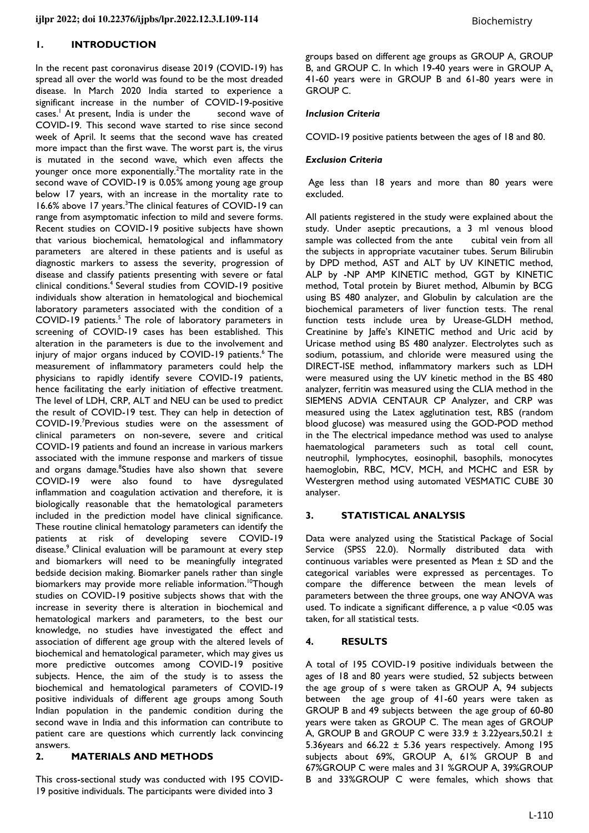## **1. INTRODUCTION**

In the recent past coronavirus disease 2019 (COVID-19) has spread all over the world was found to be the most dreaded disease. In March 2020 India started to experience a significant increase in the number of COVID-19-positive cases.<sup>1</sup> At present, India is under the second wave of COVID-19. This second wave started to rise since second week of April. It seems that the second wave has created more impact than the first wave. The worst part is, the virus is mutated in the second wave, which even affects the younger once more exponentially.<sup>2</sup>The mortality rate in the second wave of COVID-19 is 0.05% among young age group below 17 years, with an increase in the mortality rate to 16.6% above 17 years.<sup>3</sup>The clinical features of COVID-19 can range from asymptomatic infection to mild and severe forms. Recent studies on COVID-19 positive subjects have shown that various biochemical, hematological and inflammatory parameters are altered in these patients and is useful as diagnostic markers to assess the severity, progression of disease and classify patients presenting with severe or fatal clinical conditions.<sup>4</sup> Several studies from COVID-19 positive individuals show alteration in hematological and biochemical laboratory parameters associated with the condition of a COVID-19 patients.<sup>5</sup> The role of laboratory parameters in screening of COVID-19 cases has been established. This alteration in the parameters is due to the involvement and injury of major organs induced by COVID-19 patients.<sup>6</sup> The measurement of inflammatory parameters could help the physicians to rapidly identify severe COVID-19 patients, hence facilitating the early initiation of effective treatment. The level of LDH, CRP, ALT and NEU can be used to predict the result of COVID-19 test. They can help in detection of COVID-19.<sup>7</sup>Previous studies were on the assessment of clinical parameters on non-severe, severe and critical COVID-19 patients and found an increase in various markers associated with the immune response and markers of tissue and organs damage.<sup>8</sup>Studies have also shown that severe COVID-19 were also found to have dysregulated inflammation and coagulation activation and therefore, it is biologically reasonable that the hematological parameters included in the prediction model have clinical significance. These routine clinical hematology parameters can identify the patients at risk of developing severe COVID-19 disease.<sup>9</sup> Clinical evaluation will be paramount at every step and biomarkers will need to be meaningfully integrated bedside decision making. Biomarker panels rather than single biomarkers may provide more reliable information.<sup>10</sup>Though studies on COVID-19 positive subjects shows that with the increase in severity there is alteration in biochemical and hematological markers and parameters, to the best our knowledge, no studies have investigated the effect and association of different age group with the altered levels of biochemical and hematological parameter, which may gives us more predictive outcomes among COVID-19 positive subjects. Hence, the aim of the study is to assess the biochemical and hematological parameters of COVID-19 positive individuals of different age groups among South Indian population in the pandemic condition during the second wave in India and this information can contribute to patient care are questions which currently lack convincing answers.

# **2. MATERIALS AND METHODS**

This cross-sectional study was conducted with 195 COVID-19 positive individuals. The participants were divided into 3

groups based on different age groups as GROUP A, GROUP B, and GROUP C. In which 19-40 years were in GROUP A, 41-60 years were in GROUP B and 61-80 years were in GROUP C.

## *Inclusion Criteria*

COVID-19 positive patients between the ages of 18 and 80.

## *Exclusion Criteria*

 Age less than 18 years and more than 80 years were excluded.

All patients registered in the study were explained about the study. Under aseptic precautions, a 3 ml venous blood sample was collected from the ante cubital vein from all the subjects in appropriate vacutainer tubes. Serum Bilirubin by DPD method, AST and ALT by UV KINETIC method, ALP by -NP AMP KINETIC method, GGT by KINETIC method, Total protein by Biuret method, Albumin by BCG using BS 480 analyzer, and Globulin by calculation are the biochemical parameters of liver function tests. The renal function tests include urea by Urease-GLDH method, Creatinine by Jaffe's KINETIC method and Uric acid by Uricase method using BS 480 analyzer. Electrolytes such as sodium, potassium, and chloride were measured using the DIRECT-ISE method, inflammatory markers such as LDH were measured using the UV kinetic method in the BS 480 analyzer, ferritin was measured using the CLIA method in the SIEMENS ADVIA CENTAUR CP Analyzer, and CRP was measured using the Latex agglutination test, RBS (random blood glucose) was measured using the GOD-POD method in the The electrical impedance method was used to analyse haematological parameters such as total cell count, neutrophil, lymphocytes, eosinophil, basophils, monocytes haemoglobin, RBC, MCV, MCH, and MCHC and ESR by Westergren method using automated VESMATIC CUBE 30 analyser.

## **3. STATISTICAL ANALYSIS**

Data were analyzed using the Statistical Package of Social Service (SPSS 22.0). Normally distributed data with continuous variables were presented as Mean ± SD and the categorical variables were expressed as percentages. To compare the difference between the mean levels of parameters between the three groups, one way ANOVA was used. To indicate a significant difference, a p value <0.05 was taken, for all statistical tests.

#### **4. RESULTS**

A total of 195 COVID-19 positive individuals between the ages of 18 and 80 years were studied, 52 subjects between the age group of s were taken as GROUP A, 94 subjects between the age group of 41-60 years were taken as GROUP B and 49 subjects between the age group of 60-80 years were taken as GROUP C. The mean ages of GROUP A, GROUP B and GROUP C were  $33.9 \pm 3.22$ years, 50.21  $\pm$ 5.36years and 66.22  $\pm$  5.36 years respectively. Among 195 subjects about 69%, GROUP A, 61% GROUP B and 67%GROUP C were males and 31 %GROUP A, 39%GROUP B and 33%GROUP C were females, which shows that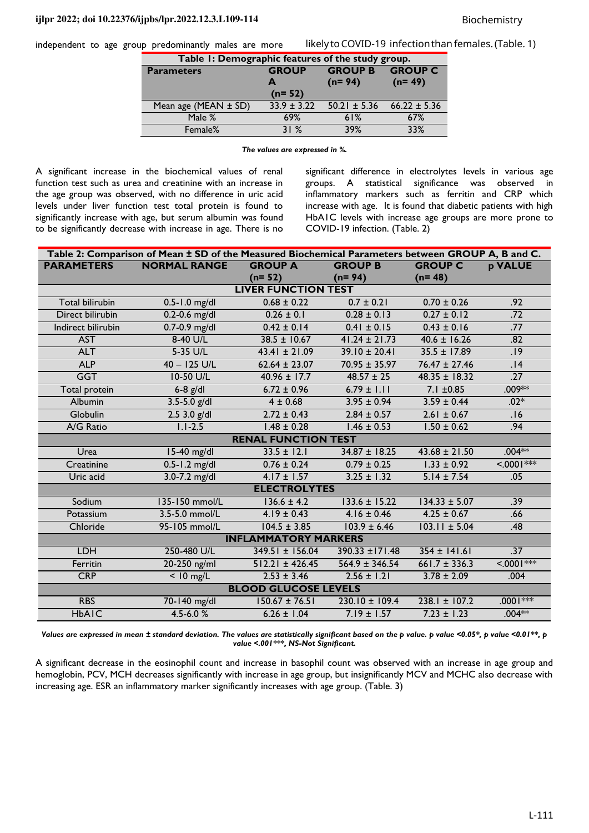independent to age group predominantly males are more

| Table 1: Demographic features of the study group. |                 |                                  |                  |  |  |  |  |
|---------------------------------------------------|-----------------|----------------------------------|------------------|--|--|--|--|
| <b>Parameters</b>                                 | <b>GROUP</b>    | <b>GROUP B</b><br><b>GROUP C</b> |                  |  |  |  |  |
|                                                   | A<br>$(n=52)$   | $(n=94)$                         | $(n=49)$         |  |  |  |  |
| Mean age (MEAN $\pm$ SD)                          | $33.9 \pm 3.22$ | $50.21 \pm 5.36$                 | $66.22 \pm 5.36$ |  |  |  |  |
| Male %                                            | 69%             | 61%                              | 67%              |  |  |  |  |
| Female%                                           | 31%             | 39%                              | 33%              |  |  |  |  |

*The values are expressed in %.* 

A significant increase in the biochemical values of renal function test such as urea and creatinine with an increase in the age group was observed, with no difference in uric acid levels under liver function test total protein is found to significantly increase with age, but serum albumin was found to be significantly decrease with increase in age. There is no significant difference in electrolytes levels in various age groups. A statistical significance was observed in inflammatory markers such as ferritin and CRP which increase with age. It is found that diabetic patients with high HbA1C levels with increase age groups are more prone to COVID-19 infection. (Table. 2)

likely to COVID-19 infection than females. (Table. 1)

| Table 2: Comparison of Mean ± SD of the Measured Biochemical Parameters between GROUP A, B and C. |                     |                            |                    |                   |                  |  |  |  |
|---------------------------------------------------------------------------------------------------|---------------------|----------------------------|--------------------|-------------------|------------------|--|--|--|
| <b>PARAMETERS</b>                                                                                 | <b>NORMAL RANGE</b> | <b>GROUP A</b>             | <b>GROUP B</b>     | <b>GROUP C</b>    | <b>p VALUE</b>   |  |  |  |
|                                                                                                   |                     | $(n=52)$                   | $(n=94)$           | $(n=48)$          |                  |  |  |  |
| <b>LIVER FUNCTION TEST</b>                                                                        |                     |                            |                    |                   |                  |  |  |  |
| <b>Total bilirubin</b>                                                                            | $0.5 - 1.0$ mg/dl   | $0.68 \pm 0.22$            | $0.7 \pm 0.21$     | $0.70 \pm 0.26$   | .92              |  |  |  |
| Direct bilirubin                                                                                  | $0.2 - 0.6$ mg/dl   | $0.26 \pm 0.1$             | $0.28 \pm 0.13$    | $0.27 \pm 0.12$   | .72              |  |  |  |
| Indirect bilirubin                                                                                | $0.7 - 0.9$ mg/dl   | $0.42 \pm 0.14$            | $0.41 \pm 0.15$    | $0.43 \pm 0.16$   | .77              |  |  |  |
| <b>AST</b>                                                                                        | 8-40 U/L            | $38.5 \pm 10.67$           | $41.24 \pm 21.73$  | $40.6 \pm 16.26$  | .82              |  |  |  |
| <b>ALT</b>                                                                                        | 5-35 U/L            | $43.41 \pm 21.09$          | $39.10 \pm 20.41$  | $35.5 \pm 17.89$  | .19              |  |  |  |
| <b>ALP</b>                                                                                        | $40 - 125$ U/L      | $62.64 \pm 23.07$          | $70.95 \pm 35.97$  | $76.47 \pm 27.46$ | .14              |  |  |  |
| <b>GGT</b>                                                                                        | 10-50 U/L           | $40.96 \pm 17.7$           | $48.57 \pm 25$     | $48.35 \pm 18.32$ | .27              |  |  |  |
| <b>Total protein</b>                                                                              | $6-8$ $g/dl$        | $6.72 \pm 0.96$            | $6.79 \pm 1.11$    | $7.1 \pm 0.85$    | $.009**$         |  |  |  |
| Albumin                                                                                           | $3.5 - 5.0$ g/dl    | $4 \pm 0.68$               | $3.95 \pm 0.94$    | $3.59 \pm 0.44$   | $.02*$           |  |  |  |
| Globulin                                                                                          | $2.53.0$ g/dl       | $2.72 \pm 0.43$            | $2.84 \pm 0.57$    | $2.61 \pm 0.67$   | .16              |  |  |  |
| A/G Ratio                                                                                         | $1.1 - 2.5$         | $1.48 \pm 0.28$            | $1.46 \pm 0.53$    | $1.50 \pm 0.62$   | .94              |  |  |  |
|                                                                                                   |                     | <b>RENAL FUNCTION TEST</b> |                    |                   |                  |  |  |  |
| Urea                                                                                              | 15-40 mg/dl         | $33.5 \pm 12.1$            | $34.87 \pm 18.25$  | $43.68 \pm 21.50$ | $.004**$         |  |  |  |
| Creatinine                                                                                        | $0.5 - 1.2$ mg/dl   | $0.76 \pm 0.24$            | $0.79 \pm 0.25$    | $1.33 \pm 0.92$   | $< 0001***$      |  |  |  |
| Uric acid                                                                                         | $3.0 - 7.2$ mg/dl   | $4.17 \pm 1.57$            | $3.25 \pm 1.32$    | $5.14 \pm 7.54$   | .05              |  |  |  |
| <b>ELECTROLYTES</b>                                                                               |                     |                            |                    |                   |                  |  |  |  |
| Sodium                                                                                            | 135-150 mmol/L      | $136.6 \pm 4.2$            | $133.6 \pm 15.22$  | $134.33 \pm 5.07$ | .39              |  |  |  |
| Potassium                                                                                         | 3.5-5.0 mmol/L      | $4.19 \pm 0.43$            | $4.16 \pm 0.46$    | $4.25 \pm 0.67$   | .66              |  |  |  |
| Chloride                                                                                          | 95-105 mmol/L       | $104.5 \pm 3.85$           | $103.9 \pm 6.46$   | $103.11 \pm 5.04$ | .48              |  |  |  |
| <b>INFLAMMATORY MARKERS</b>                                                                       |                     |                            |                    |                   |                  |  |  |  |
| <b>LDH</b>                                                                                        | 250-480 U/L         | $349.51 \pm 156.04$        | 390.33 ±171.48     | $354 \pm 141.61$  | .37              |  |  |  |
| Ferritin                                                                                          | 20-250 ng/ml        | $512.21 \pm 426.45$        | $564.9 \pm 346.54$ | $661.7 \pm 336.3$ | $\leq 0.001$ *** |  |  |  |
| <b>CRP</b>                                                                                        | $< 10$ mg/L         | $2.53 \pm 3.46$            | $2.56 \pm 1.21$    | $3.78 \pm 2.09$   | .004             |  |  |  |
| <b>BLOOD GLUCOSE LEVELS</b>                                                                       |                     |                            |                    |                   |                  |  |  |  |
| <b>RBS</b>                                                                                        | 70-140 mg/dl        | $150.67 \pm 76.51$         | $230.10 \pm 109.4$ | $238.1 \pm 107.2$ | $.0001***$       |  |  |  |
| <b>HbAIC</b>                                                                                      | $4.5 - 6.0%$        | $6.26 \pm 1.04$            | $7.19 \pm 1.57$    | $7.23 \pm 1.23$   | $.004**$         |  |  |  |

*Values are expressed in mean ± standard deviation. The values are statistically significant based on the p value. p value <0.05\*, p value <0.01\*\*, p value <.001\*\*\*, NS-Not Significant.* 

A significant decrease in the eosinophil count and increase in basophil count was observed with an increase in age group and hemoglobin, PCV, MCH decreases significantly with increase in age group, but insignificantly MCV and MCHC also decrease with increasing age. ESR an inflammatory marker significantly increases with age group. (Table. 3)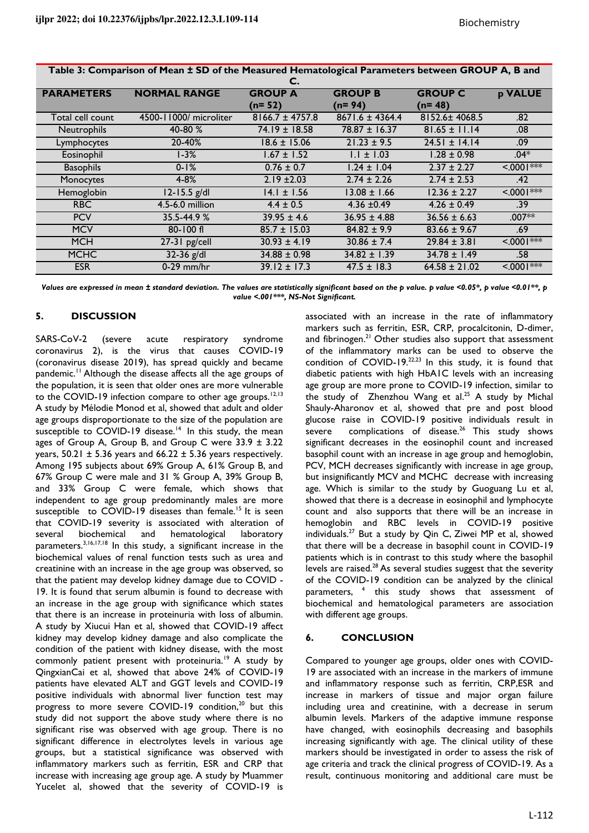| Table 3: Comparison of Mean ± SD of the Measured Hematological Parameters between GROUP A, B and |                        |                                  |                           |                            |                 |  |  |
|--------------------------------------------------------------------------------------------------|------------------------|----------------------------------|---------------------------|----------------------------|-----------------|--|--|
| <b>PARAMETERS</b>                                                                                | <b>NORMAL RANGE</b>    | C.<br><b>GROUP A</b><br>$(n=52)$ | <b>GROUP B</b><br>(n= 94) | <b>GROUP C</b><br>$(n=48)$ | <b>p VALUE</b>  |  |  |
| Total cell count                                                                                 | 4500-11000/ microliter | $8166.7 \pm 4757.8$              | $8671.6 \pm 4364.4$       | 8152.6±4068.5              | .82             |  |  |
| Neutrophils                                                                                      | 40-80 %                | $74.19 \pm 18.58$                | $78.87 \pm 16.37$         | $81.65 \pm 11.14$          | .08             |  |  |
| Lymphocytes                                                                                      | 20-40%                 | $18.6 \pm 15.06$                 | $21.23 \pm 9.5$           | $24.51 \pm 14.14$          | .09             |  |  |
| Eosinophil                                                                                       | l-3%                   | $1.67 \pm 1.52$                  | $1.1 \pm 1.03$            | $1.28 \pm 0.98$            | $.04*$          |  |  |
| <b>Basophils</b>                                                                                 | $0 - 1%$               | $0.76 \pm 0.7$                   | $1.24 \pm 1.04$           | $2.37 \pm 2.27$            | $< 0001$ ***    |  |  |
| Monocytes                                                                                        | $4 - 8%$               | $2.19 \pm 2.03$                  | $2.74 \pm 2.26$           | $2.74 \pm 2.53$            | .42             |  |  |
| Hemoglobin                                                                                       | $12 - 15.5$ g/dl       | $14.1 \pm 1.56$                  | $13.08 \pm 1.66$          | $12.36 \pm 2.27$           | $5.0001***$     |  |  |
| <b>RBC</b>                                                                                       | 4.5-6.0 million        | $4.4 \pm 0.5$                    | $4.36 \pm 0.49$           | $4.26 \pm 0.49$            | .39             |  |  |
| <b>PCV</b>                                                                                       | 35.5-44.9%             | $39.95 \pm 4.6$                  | $36.95 \pm 4.88$          | $36.56 \pm 6.63$           | $.007**$        |  |  |
| <b>MCV</b>                                                                                       | $80 - 100$ fl          | $85.7 \pm 15.03$                 | $84.82 \pm 9.9$           | $83.66 \pm 9.67$           | .69             |  |  |
| <b>MCH</b>                                                                                       | 27-31 pg/cell          | $30.93 \pm 4.19$                 | $30.86 \pm 7.4$           | $29.84 \pm 3.81$           | $\leq 0001$ *** |  |  |
| <b>MCHC</b>                                                                                      | $32-36$ g/dl           | $34.88 \pm 0.98$                 | $34.82 \pm 1.39$          | $34.78 \pm 1.49$           | .58             |  |  |
| <b>ESR</b>                                                                                       | $0-29$ mm/hr           | $39.12 \pm 17.3$                 | $47.5 \pm 18.3$           | $64.58 \pm 21.02$          | $5.0001***$     |  |  |

**Table 3: Comparison of Mean ± SD of the Measured Hematological Parameters between GROUP A, B and** 

*Values are expressed in mean ± standard deviation. The values are statistically significant based on the p value. p value <0.05\*, p value <0.01\*\*, p value <.001\*\*\*, NS-Not Significant.* 

# **5. DISCUSSION**

SARS-CoV-2 (severe acute respiratory syndrome coronavirus 2), is the virus that causes COVID-19 (coronavirus disease 2019), has spread quickly and became pandemic.<sup>11</sup> Although the disease affects all the age groups of the population, it is seen that older ones are more vulnerable to the COVID-19 infection compare to other age groups.<sup>12,13</sup> A study by Mélodie Monod et al, showed that adult and older age groups disproportionate to the size of the population are susceptible to COVID-19 disease.<sup>14</sup> In this study, the mean ages of Group A, Group B, and Group C were  $33.9 \pm 3.22$ years,  $50.21 \pm 5.36$  years and  $66.22 \pm 5.36$  years respectively. Among 195 subjects about 69% Group A, 61% Group B, and 67% Group C were male and 31 % Group A, 39% Group B, and 33% Group C were female, which shows that independent to age group predominantly males are more susceptible to COVID-19 diseases than female.<sup>15</sup> It is seen that COVID-19 severity is associated with alteration of several biochemical and hematological laboratory parameters.<sup>3,16,17,18</sup> In this study, a significant increase in the biochemical values of renal function tests such as urea and creatinine with an increase in the age group was observed, so that the patient may develop kidney damage due to COVID - 19. It is found that serum albumin is found to decrease with an increase in the age group with significance which states that there is an increase in proteinuria with loss of albumin. A study by [Xiucui Han](https://onlinelibrary.wiley.com/action/doSearch?ContribAuthorStored=Han%2C+Xiucui) et al, showed that COVID-19 affect kidney may develop kidney damage and also complicate the condition of the patient with kidney disease, with the most commonly patient present with proteinuria.<sup>19</sup> A study by QingxianCai et al, showed that above 24% of COVID-19 patients have elevated ALT and GGT levels and COVID-19 positive individuals with abnormal liver function test may progress to more severe COVID-19 condition,<sup>20</sup> but this study did not support the above study where there is no significant rise was observed with age group. There is no significant difference in electrolytes levels in various age groups, but a statistical significance was observed with inflammatory markers such as ferritin, ESR and CRP that increase with increasing age group age. A study by Muammer Yucelet al, showed that the severity of COVID-19 is

associated with an increase in the rate of inflammatory markers such as ferritin, ESR, CRP, procalcitonin, D-dimer, and fibrinogen.<sup>21</sup> Other studies also support that assessment of the inflammatory marks can be used to observe the condition of COVID-19.<sup>22,23</sup> In this study, it is found that diabetic patients with high HbA1C levels with an increasing age group are more prone to COVID-19 infection, similar to the study of [Zhenzhou Wang](https://www.ncbi.nlm.nih.gov/pubmed/?term=Wang%20Z%5BAuthor%5D&cauthor=true&cauthor_uid=32416121) et al.<sup>25</sup> A study by Michal Shauly-Aharonov et al, showed that pre and post blood glucose raise in COVID-19 positive individuals result in severe complications of disease.<sup>26</sup> This study shows significant decreases in the eosinophil count and increased basophil count with an increase in age group and hemoglobin, PCV, MCH decreases significantly with increase in age group, but insignificantly MCV and MCHC decrease with increasing age. Which is similar to the study by Guoguang Lu et al, showed that there is a decrease in eosinophil and lymphocyte count and also supports that there will be an increase in hemoglobin and RBC levels in COVID-19 positive individuals.<sup>27</sup> But a study by Qin C, Ziwei MP et al, showed that there will be a decrease in basophil count in COVID-19 patients which is in contrast to this study where the basophil levels are raised.<sup>28</sup> As several studies suggest that the severity of the COVID-19 condition can be analyzed by the clinical parameters, <sup>4</sup> this study shows that assessment of biochemical and hematological parameters are association with different age groups.

# **6. CONCLUSION**

Compared to younger age groups, older ones with COVID-19 are associated with an increase in the markers of immune and inflammatory response such as ferritin, CRP,ESR and increase in markers of tissue and major organ failure including urea and creatinine, with a decrease in serum albumin levels. Markers of the adaptive immune response have changed, with eosinophils decreasing and basophils increasing significantly with age. The clinical utility of these markers should be investigated in order to assess the risk of age criteria and track the clinical progress of COVID-19. As a result, continuous monitoring and additional care must be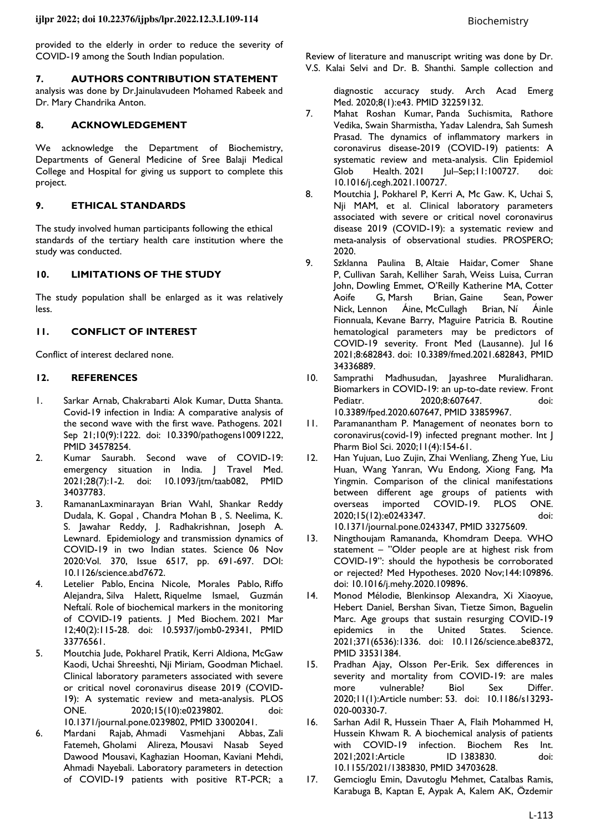provided to the elderly in order to reduce the severity of COVID-19 among the South Indian population.

## **7. AUTHORS CONTRIBUTION STATEMENT**

analysis was done by Dr.Jainulavudeen Mohamed Rabeek and Dr. Mary Chandrika Anton.

#### **8. ACKNOWLEDGEMENT**

We acknowledge the Department of Biochemistry, Departments of General Medicine of Sree Balaji Medical College and Hospital for giving us support to complete this project.

# **9. ETHICAL STANDARDS**

The study involved human participants following the ethical standards of the tertiary health care institution where the study was conducted.

## **10. LIMITATIONS OF THE STUDY**

The study population shall be enlarged as it was relatively less.

## **11. CONFLICT OF INTEREST**

Conflict of interest declared none.

## **12. REFERENCES**

- 1. Sarkar Arnab, Chakrabarti Alok Kumar, Dutta Shanta. Covid-19 infection in India: A comparative analysis of the second wave with the first wave. Pathogens. 2021 Sep 21;10(9):1222. doi: [10.3390/pathogens10091222,](https://doi.org/10.3390/pathogens10091222) PMID [34578254.](https://www.ncbi.nlm.nih.gov/pubmed/34578254)
- 2. Kumar Saurabh. Second wave of COVID-19: emergency situation in India. | Travel Med. 2021;28(7):1-2. doi: [10.1093/jtm/taab082,](https://doi.org/10.1093/jtm/taab082) PMID [34037783.](https://www.ncbi.nlm.nih.gov/pubmed/34037783)
- 3. RamananLaxminarayan Brian Wahl, Shankar Reddy Dudala, K. Gopal , Chandra Mohan B , S. Neelima, K. S. Jawahar Reddy, J. Radhakrishnan, Joseph A. Lewnard. Epidemiology and transmission dynamics of COVID-19 in two Indian states. Science 06 Nov 2020:Vol. 370, Issue 6517, pp. 691-697. DOI: 10.1126/science.abd7672.
- 4. Letelier Pablo, Encina Nicole, Morales Pablo, Riffo Alejandra, Silva Halett, Riquelme Ismael, Guzmán Neftalí. Role of biochemical markers in the monitoring of COVID-19 patients. | Med Biochem. 2021 Mar 12;40(2):115-28. doi: [10.5937/jomb0-29341,](https://doi.org/10.5937/jomb0-29341) PMID [33776561.](https://www.ncbi.nlm.nih.gov/pubmed/33776561)
- 5. Moutchia Jude, Pokharel Pratik, Kerri Aldiona, McGaw Kaodi, Uchai Shreeshti, Nji Miriam, Goodman Michael. Clinical laboratory parameters associated with severe or critical novel coronavirus disease 2019 (COVID-19): A systematic review and meta-analysis. PLOS ONE. 2020;15(10):e0239802. doi: [10.1371/journal.pone.0239802,](https://doi.org/10.1371/journal.pone.0239802) PMID [33002041.](https://www.ncbi.nlm.nih.gov/pubmed/33002041)
- 6. Mardani Rajab, Ahmadi Vasmehjani Abbas, Zali Fatemeh, Gholami Alireza, Mousavi Nasab Seyed Dawood Mousavi, Kaghazian Hooman, Kaviani Mehdi, Ahmadi Nayebali. Laboratory parameters in detection of COVID-19 patients with positive RT-PCR; a

Review of literature and manuscript writing was done by Dr. V.S. Kalai Selvi and Dr. B. Shanthi. Sample collection and

diagnostic accuracy study. Arch Acad Emerg Med. 2020;8(1):e43. PMID [32259132.](https://www.ncbi.nlm.nih.gov/pubmed/32259132) 

- 7. Mahat Roshan Kumar, Panda Suchismita, Rathore Vedika, Swain Sharmistha, Yadav Lalendra, Sah Sumesh Prasad. The dynamics of inflammatory markers in coronavirus disease-2019 (COVID-19) patients: A systematic review and meta-analysis. Clin Epidemiol Glob Health. 2021 |ul-Sep;11:100727. doi: [10.1016/j.cegh.2021.100727.](https://doi.org/10.1016/j.cegh.2021.100727)
- 8. Moutchia J, Pokharel P, Kerri A, Mc Gaw. K, Uchai S, Nji MAM, et al. Clinical laboratory parameters associated with severe or critical novel coronavirus disease 2019 (COVID-19): a systematic review and meta-analysis of observational studies. PROSPERO; 2020.
- 9. Szklanna Paulina B, Altaie Haidar, Comer Shane P, Cullivan Sarah, Kelliher Sarah, Weiss Luisa, Curran John, Dowling Emmet, O'Reilly Katherine MA, Cotter Brian, Gaine Sean, Power Nick, Lennon Áine, McCullagh Brian, Ní Áinle Fionnuala, Kevane Barry, Maguire Patricia B. Routine hematological parameters may be predictors of COVID-19 severity. Front Med (Lausanne). Jul 16 2021;8:682843. doi: [10.3389/fmed.2021.682843,](https://doi.org/10.3389/fmed.2021.682843) PMID [34336889.](https://www.ncbi.nlm.nih.gov/pubmed/34336889)
- 10. Samprathi Madhusudan, Jayashree Muralidharan. Biomarkers in COVID-19: an up-to-date review. Front Pediatr. 2020;8:607647. doi: [10.3389/fped.2020.607647,](https://doi.org/10.3389/fped.2020.607647) PMID [33859967.](https://www.ncbi.nlm.nih.gov/pubmed/33859967)
- 11. Paramanantham P. Management of neonates born to coronavirus(covid-19) infected pregnant mother. Int J Pharm Biol Sci. 2020;11(4):154-61.
- 12. Han Yujuan, Luo Zujin, Zhai Wenliang, Zheng Yue, Liu Huan, Wang Yanran, Wu Endong, Xiong Fang, Ma Yingmin. Comparison of the clinical manifestations between different age groups of patients with overseas imported COVID-19. PLOS ONE. 2020;15(12):e0243347. doi: [10.1371/journal.pone.0243347,](https://doi.org/10.1371/journal.pone.0243347) PMID [33275609.](https://www.ncbi.nlm.nih.gov/pubmed/33275609)
- 13. Ningthoujam Ramananda, Khomdram Deepa. WHO statement – "Older people are at highest risk from COVID-19": should the hypothesis be corroborated or rejected? Med Hypotheses. 2020 Nov;144:109896. doi: [10.1016/j.mehy.2020.109896.](https://doi.org/10.1016/j.mehy.2020.109896)
- 14. Monod Mélodie, Blenkinsop Alexandra, Xi Xiaoyue, Hebert Daniel, Bershan Sivan, Tietze Simon, Baguelin Marc. Age groups that sustain resurging COVID-19 epidemics in the United States. Science. 2021;371(6536):1336. doi: [10.1126/science.abe8372,](https://doi.org/10.1126/science.abe8372) PMID [33531384.](https://www.ncbi.nlm.nih.gov/pubmed/33531384)
- 15. Pradhan Ajay, Olsson Per-Erik. Sex differences in severity and mortality from COVID-19: are males more vulnerable? Biol Sex Differ. 2020;11(1):Article number: 53. doi: [10.1186/s13293-](https://doi.org/10.1186/s13293-020-00330-7) [020-00330-7.](https://doi.org/10.1186/s13293-020-00330-7)
- 16. Sarhan Adil R, Hussein Thaer A, Flaih Mohammed H, Hussein Khwam R. A biochemical analysis of patients with COVID-19 infection. Biochem Res Int. 2021;2021:Article ID 1383830. doi: [10.1155/2021/1383830,](https://doi.org/10.1155/2021/1383830) PMID [34703628.](https://www.ncbi.nlm.nih.gov/pubmed/34703628)
- 17. Gemcioglu Emin, Davutoglu Mehmet, Catalbas Ramis, Karabuga B, Kaptan E, Aypak A, Kalem AK, Özdemir